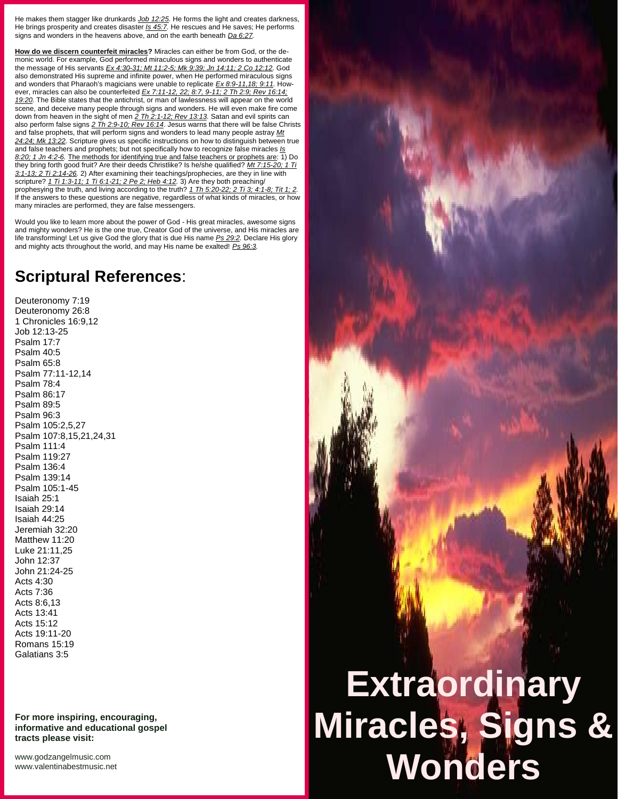He makes them stagger like drunkards *Job 12:25.* He forms the light and creates darkness, He brings prosperity and creates disaster *Is 45:7.* He rescues and He saves; He performs signs and wonders in the heavens above, and on the earth beneath *Da 6:27.*

**How do we discern counterfeit miracles?** Miracles can either be from God, or the de monic world. For example, God performed miraculous signs and wonders to authenticate the message of His servants *Ex 4:30-31; Mt 11:2-5; Mk 9:39; Jn 14:11; 2 Co 12:12.* God also demonstrated His supreme and infinite power, when He performed miraculous signs and wonders that Pharaoh's magicians were unable to replicate *Ex 8:9-11,18; 9:11.* How ever, miracles can also be counterfeited *Ex 7:11-12, 22; 8:7, 9-11; 2 Th 2:9; Rev 16:14; 19:20.* The Bible states that the antichrist, or man of lawlessness will appear on the world scene, and deceive many people through signs and wonders. He will even make fire come down from heaven in the sight of men *2 Th 2:1-12; Rev 13:13.* Satan and evil spirits can also perform false signs *2 Th 2:9-10; Rev 16:14*. Jesus warns that there will be false Christs and false prophets, that will perform signs and wonders to lead many people astray *Mt 24:24; Mk 13:22.* Scripture gives us specific instructions on how to distinguish between true and false teachers and prophets; but not specifically how to recognize false miracles *Is 8:20; 1 Jn 4:2-6.* The methods for identifying true and false teachers or prophets are: 1) Do they bring forth good fruit? Are their deeds Christlike? Is he/she qualified? *Mt 7:15-20; 1 Ti 3:1-13; 2 Ti 2:14-26.* 2) After examining their teachings/prophecies, are they in line with scripture? *1 Ti 1:3-11; 1 Ti 6:1-21; 2 Pe 2; Heb 4:12.* 3) Are they both preaching/ prophesying the truth, and living according to the truth? *1 Th 5:20-22; 2 Ti 3; 4:1-8; Tit 1; 2.* If the answers to these questions are negative, regardless of what kinds of miracles, or how many miracles are performed, they are false messengers.

Would you like to learn more about the power of God - His great miracles, awesome signs and mighty wonders? He is the one true, Creator God of the universe, and His miracles are life transforming! Let us give God the glory that is due His name *Ps 29:2.* Declare His glory and mighty acts throughout the world, and may His name be exalted! *Ps 96:3.*

## **Scriptural References**:

Deuteronomy 7:19 Deuteronomy 26:8 1 Chronicles 16:9,12 Job 12:13-25 Psalm 17:7 Psalm 40:5 Psalm 65:8 Psalm 77:11-12,14 Psalm 78:4 Psalm 86:17 Psalm 89:5 Psalm 96:3 Psalm 105:2,5,27 Psalm 107:8,15,21,24,31 Psalm 111:4 Psalm 119:27 Psalm 136:4 Psalm 139:14 Psalm 105:1-45 Isaiah 25:1 Isaiah 29:14 Isaiah 44:25 Jeremiah 32:20 Matthew 11:20 Luke 21:11,25 John 12:37 John 21:24-25 Acts 4:30 Acts 7:36 Acts 8:6,13 Acts 13:41 Acts 15:12 Acts 19:11-20 Romans 15:19 Galatians 3:5

**For more inspiring, encouraging, informative and educational gospel tracts please visit:**

<www.godzangelmusic.com> <www.valentinabestmusic.net>

## **Extraordinary Miracles, Signs & Wonders**